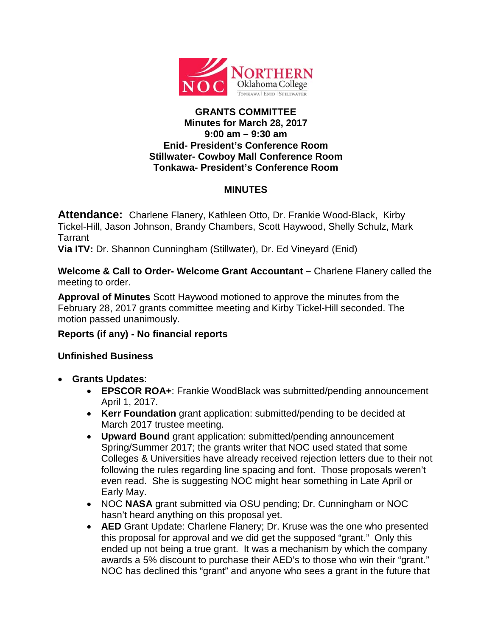

## **GRANTS COMMITTEE Minutes for March 28, 2017 9:00 am – 9:30 am Enid- President's Conference Room Stillwater- Cowboy Mall Conference Room Tonkawa- President's Conference Room**

## **MINUTES**

**Attendance:** Charlene Flanery, Kathleen Otto, Dr. Frankie Wood-Black, Kirby Tickel-Hill, Jason Johnson, Brandy Chambers, Scott Haywood, Shelly Schulz, Mark Tarrant

**Via ITV:** Dr. Shannon Cunningham (Stillwater), Dr. Ed Vineyard (Enid)

**Welcome & Call to Order- Welcome Grant Accountant –** Charlene Flanery called the meeting to order.

**Approval of Minutes** Scott Haywood motioned to approve the minutes from the February 28, 2017 grants committee meeting and Kirby Tickel-Hill seconded. The motion passed unanimously.

## **Reports (if any) - No financial reports**

## **Unfinished Business**

- **Grants Updates**:
	- **EPSCOR ROA+**: Frankie WoodBlack was submitted/pending announcement April 1, 2017.
	- **Kerr Foundation** grant application: submitted/pending to be decided at March 2017 trustee meeting.
	- **Upward Bound** grant application: submitted/pending announcement Spring/Summer 2017; the grants writer that NOC used stated that some Colleges & Universities have already received rejection letters due to their not following the rules regarding line spacing and font. Those proposals weren't even read. She is suggesting NOC might hear something in Late April or Early May.
	- NOC **NASA** grant submitted via OSU pending; Dr. Cunningham or NOC hasn't heard anything on this proposal yet.
	- **AED** Grant Update: Charlene Flanery; Dr. Kruse was the one who presented this proposal for approval and we did get the supposed "grant." Only this ended up not being a true grant. It was a mechanism by which the company awards a 5% discount to purchase their AED's to those who win their "grant." NOC has declined this "grant" and anyone who sees a grant in the future that